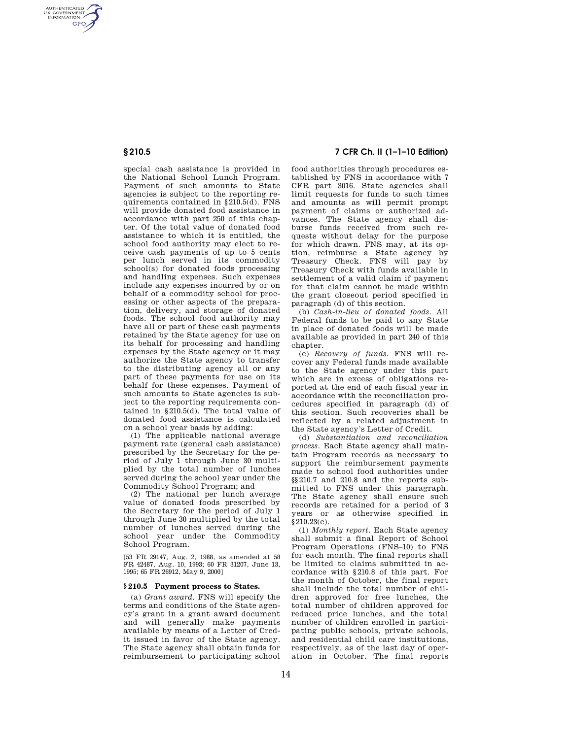AUTHENTICATED<br>U.S. GOVERNMENT<br>INFORMATION **GPO** 

> special cash assistance is provided in the National School Lunch Program. Payment of such amounts to State agencies is subject to the reporting requirements contained in §210.5(d). FNS will provide donated food assistance in accordance with part 250 of this chapter. Of the total value of donated food assistance to which it is entitled, the school food authority may elect to receive cash payments of up to 5 cents per lunch served in its commodity school(s) for donated foods processing and handling expenses. Such expenses include any expenses incurred by or on behalf of a commodity school for processing or other aspects of the preparation, delivery, and storage of donated foods. The school food authority may have all or part of these cash payments retained by the State agency for use on its behalf for processing and handling expenses by the State agency or it may authorize the State agency to transfer to the distributing agency all or any part of these payments for use on its behalf for these expenses. Payment of such amounts to State agencies is subject to the reporting requirements contained in §210.5(d). The total value of donated food assistance is calculated on a school year basis by adding:

> (1) The applicable national average payment rate (general cash assistance) prescribed by the Secretary for the period of July 1 through June 30 multiplied by the total number of lunches served during the school year under the Commodity School Program; and

> (2) The national per lunch average value of donated foods prescribed by the Secretary for the period of July 1 through June 30 multiplied by the total number of lunches served during the school year under the Commodity School Program.

[53 FR 29147, Aug. 2, 1988, as amended at 58 FR 42487, Aug. 10, 1993; 60 FR 31207, June 13, 1995; 65 FR 26912, May 9, 2000]

### **§ 210.5 Payment process to States.**

(a) *Grant award.* FNS will specify the terms and conditions of the State agency's grant in a grant award document and will generally make payments available by means of a Letter of Credit issued in favor of the State agency. The State agency shall obtain funds for reimbursement to participating school

# **§ 210.5 7 CFR Ch. II (1–1–10 Edition)**

food authorities through procedures established by FNS in accordance with 7 CFR part 3016. State agencies shall limit requests for funds to such times and amounts as will permit prompt payment of claims or authorized advances. The State agency shall disburse funds received from such requests without delay for the purpose for which drawn. FNS may, at its option, reimburse a State agency by Treasury Check. FNS will pay by Treasury Check with funds available in settlement of a valid claim if payment for that claim cannot be made within the grant closeout period specified in paragraph (d) of this section.

(b) *Cash-in-lieu of donated foods.* All Federal funds to be paid to any State in place of donated foods will be made available as provided in part 240 of this chapter.

(c) *Recovery of funds.* FNS will recover any Federal funds made available to the State agency under this part which are in excess of obligations reported at the end of each fiscal year in accordance with the reconciliation procedures specified in paragraph (d) of this section. Such recoveries shall be reflected by a related adjustment in the State agency's Letter of Credit.

(d) *Substantiation and reconciliation process.* Each State agency shall maintain Program records as necessary to support the reimbursement payments made to school food authorities under §§210.7 and 210.8 and the reports submitted to FNS under this paragraph. The State agency shall ensure such records are retained for a period of 3 years or as otherwise specified in §210.23(c).

(1) *Monthly report.* Each State agency shall submit a final Report of School Program Operations (FNS–10) to FNS for each month. The final reports shall be limited to claims submitted in accordance with §210.8 of this part. For the month of October, the final report shall include the total number of children approved for free lunches, the total number of children approved for reduced price lunches, and the total number of children enrolled in participating public schools, private schools, and residential child care institutions, respectively, as of the last day of operation in October. The final reports